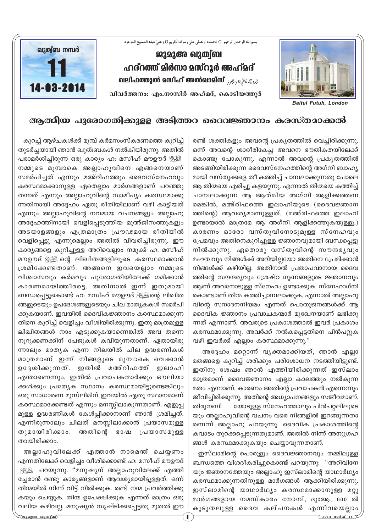

## **ആത്മീയ പുരോഗതിക്കുള്ള അടിത്തറ ദൈവജ്ഞാനം കരസ്തമാക്കൽ**

രണ്ട് ശക്തികളും അവന്റെ പ്രകൃതത്തിൽ വെച്ചിരിക്കുന്നു. ഒന്ന് അവന്റെ ശാരീരികേച്ച അവനെ ഭൗതികതയിലേക്ക് കൊണ്ടു പോകുന്നു. എന്നാൽ അവന്റെ പ്രകൃതത്തിൽ അടങ്ങിയിരിക്കുന്ന ദൈവസ്നേഹത്തിന്റെ അഗ്നി ബാഹൃ മായി വസ്തുക്കളെ തീ കത്തിച്ച് ചാമ്പലാക്കുന്നതു പോല<del>െ</del> ആ തിന്മയെ എരിച്ചു കളയുന്നു. എന്നാൽ തിന്മയെ കത്തിച്ച് ചാമ്പലാക്കുന്ന ആ ആത്മീയ അഗ്നി ആളിക്കത്തണ മെങ്കിൽ, മഅ്രിഫത്തെ ഇലാഹിയുടെ (ദൈവജ്ഞാന ത്തിന്റെ) ആവശ്യമാണുള്ളത്. (മഅ്രിഫത്തെ ഇലാഹി ഉണ്ടായാൽ മാത്രമേ ആ അഗ്നി ആളിക്കത്തുകയുള്ളൂ.) കാരണം ഓരോ വസ്തുവിനോടുമുള്ള സ്നേഹവും ്പ്രേമവും അതിനെകുറിച്ചുള്ള ജ്ഞാനവുമായി ബന്ധപ്പെട്ടു നിൽക്കുന്നു. ഏതൊരു വസ്തുവിന്റെ സൗന്ദരൃവും മഹത്വവും നിങ്ങൾക്ക് അറിയില്ലയോ അതിനെ പ്രേമിക്കാൻ നിങ്ങൾക്ക് കഴിയില്ല. അതിനാൽ പ്രതാപവാനായ ദൈവ ത്തിന്റെ സൗന്ദര്യവും ശ്രേഷ്ഠ ഗുണങ്ങളുടെ ജ്ഞാനവും ആണ് അവനോടുള്ള സ്നേഹം ഉണ്ടാക്കുക. സ്നേഹാഗ്നി കൊണ്ടാണ് തിന്മ കത്തിച്ചാമ്പലാക്കുക. എന്നാൽ അല്ലാഹു വിന്റെ സനാദനനിയമം എന്നത് പൊതുജനങ്ങൾക്ക് ആ ദെവിക ജ്ഞാനം പ്രവാചകന്മാർ മുഖേനയാണ് ലഭിക്കു ന്നത് എന്നാണ്. അവരുടെ പ്രകാശത്താൽ ഇവർ പ്രകാശം കരസ്ഥമാക്കുന്നു. അവർക്ക് നൽകപ്പെട്ടതിനെ പിൻപറ്റുക വഴി ഇവർക്ക് എല്ലാം കരസ്ഥമാക്കുന്നു."

അദ്ദേഹം മറ്റൊന്ന് വൃക്തമാക്കിയത്, ഞാൻ എല്ലാ മതങ്ങളെ കുറിച്ച് ശരിക്കും പരിശോധന നടത്തിയിട്ടുണ്ട്. ഇതിനു ശേഷം ഞാൻ എത്തിയിരിക്കുന്നത് ഇസ്ലാം മാത്രമാണ് ദൈവജ്ഞാനം എല്ലാ കാലത്തും നൽകുന്ന മതം എന്നാണ്. കാരണം അതിന്റെ പ്രവാചകൻ എന്നെന്നും ജീവിച്ചിരിക്കുന്നു. അതിന്റെ അധ്യാപനങ്ങളും സജീവമാണ്. തിരുനബി യോടുള്ള സ്നേഹത്താലും പിൻപറ്റലിലുടെ യും അല്ലാഹുവിന്റെ വചനം വരെ നിങ്ങളിൽ ഇറങ്ങുന്നതാ ണെന്ന് അല്ലാഹു പറയുന്നു. ദൈവിക പ്രകാശത്തിന്റെ കവാടം തുറക്കപ്പെടുന്നതുമാണ്. അതിൽ നിന്ന് അനുഗ്രഹ ങ്ങൾ കരസ്ഥമാക്കുകയും ചെയ്യാവുന്നതാണ്.

ഇസ്ലാമിന്റെ പൊരുളും ദൈവജ്ഞാനവും തമ്മിലുള്ള ബന്ധത്തെ വിശദീകരിച്ചുകൊണ്ട് പറയുന്നു: "അറിവിനേ യും ജ്ഞാനത്തേയും അല്ലാഹു ഇസ്ലാമിന്റെ യാഥാർഥ്യം കരസ്ഥമാക്കുന്നതിനുള്ള മാർഗങ്ങൾ ആക്കിയിരിക്കുന്നു. ഇസ്ലാമിന്റെ യാഥാർഥ്യം കരസ്ഥമാക്കാനുള്ള മറ്റു മാർഗങ്ങളായ നമസ്കാരം നോമ്പ്, ദുഃആ, 600 ൽ കുടുതലുള്ള ദൈവ കല്പനകൾ എന്നിവയെല<u>്</u>ലാം

കുറച്ച് ആഴ്ചകൾക്ക് മുമ്പ് കർമസംസ്കരണത്തെ കുറിച്ച് തുടർച്ചയായി ഞാൻ ഖുത്ഥികൾ നൽകിയിരുന്നു. അതിൽ പരാമര്ശിച്ചിരുന്ന ഒരു കാര്യം ഹ. മസീഹ് മൗഉൗദ് <u>∛യ്</u>ടി നമ്മുടെ മുമ്പാകെ അല്ലാഹുവിനെ എങ്ങനെയാണ് സമർപിച്ചത് എന്നും മഅ്റിഫത്തും ദൈവസ്നേഹവും കരസ്ഥമാക്കാനുള്ള ഏതെല്ലാം മാർഗങ്ങളാണ് പറഞ്ഞു തന്നത് എന്നും അല്ലാഹുവിന്റെ സാമീപ്യം കരസ്ഥമാക്കു ന്നതിനായി അദ്ദേഹം ഏതു രീതിയിലാണ് വഴി കാട്ടിയത് എന്നും അല്ലാഹുവിന്റെ നവമായ വചനങ്ങളും അല്ലാഹു അദ്ദേഹത്തിനായി വെളിപ്പെടുത്തിയ മുഅ്ജിസത്തുകളും അടയാളങ്ങളും എത്രമാത്രം പ്രൗഢമായ രീതിയിൽ വെളിപ്പെട്ടു എന്നുമെല്ലാം അതിൽ വിവരിച്ചിരുന്നു. ഈ കാര്യങ്ങളെ കുറിച്ചുള്ള അറിവെല്ലാം നമുക്ക് ഹ: മസീഹ് മൗഊദ് ﷺ തെ ചെ—<br>മൗഊദ് ﷺ മിഖിതങ്ങളിലൂടെ കരസ്ഥമാക്കാൻ  $[$ ശമിക്കേണ്ടതാണ്. അങ്ങനെ ഇവയെല്ലാം നമ്മുടെ hnivang akarang ang kanamang kaleunan diawang alah diawat കാരണമായിത്തീരട്ടെ. അതിനാൽ ഇന്ന് ഇതുമായി ബന്ധപ്പെട്ടുകൊണ്ട് ഹ: മസീഹ് മൗഊദ് ;്∰ിന്റെ ലിഖിത ങ്ങളുടെയും ഉപദേശങ്ങളുടെയും ചില മാതൃകകൾ സമർപി ക്കുകയാണ്. ഇവയിൽ ദൈവികജ്ഞാനം കരസ്ഥമാക്കുന്ന തിനെ കുറിച്ച് വെളിച്ചം വീശിയിരിക്കുന്നു. ഇതു മാത്രമുള്ള ലിഖിതങ്ങൾ നാം എടുക്കുകയാണെങ്കിൽ അവ തന്നെ നൂറുക്കണക്കിന് പേജുകൾ കവിയുന്നതാണ്. ഏതായിരു ന്നാലും മാതൃക എന്ന നിലയിൽ ചില ഉദ്ധരണികൾ മാത്രമാണ് ഇന്ന് നിങ്ങളുടെ മുമ്പാകെ വെക്കാൻ ഉദ്ദേശിക്കുന്നത്. ഇതിൽ മഅ്റിഫത്ത് ഇലാഹി എന്താണെന്നും, ഇതിൽ പ്രവാചകന്മാർക്കും ഔലിയാ ക്കൾക്കും പ്രത്യേക സ്ഥാനം കരസ്ഥമായിട്ടുണ്ടെങ്കിലും ഒരു സാധാരണ മുസ്ലിമിന് ഇവയിൽ ഏതു സ്ഥാനമാണ് കരസ്ഥമാക്കേണ്ടത് എന്നും മനസ്സിലാകുന്നതാണ്. എളുപ്പ മുള്ള ഉദ്ധരണികൾ കേൾപ്പിക്കാനാണ് ഞാൻ ശ്രമിച്ചത്. എന്നിരുന്നാലും ചിലത് മനസ്സിലാക്കാൻ പ്രയാസമുള്ള തുമായിരിക്കാം. അതിന്റെ ഭാഷ പ്രയാസമുള്ള തായിരിക്കാം.

അല്ലാഹുവിലേക്ക് എത്താൻ നാമെന്ത് ചെയ്യണ<u>ം</u> എന്നതിലേക്ക് വെളിച്ചം വീശിക്കൊണ്ട് ഹ: മസീഹ് മൗഊദ് ്.<br>ൃ്ള്്ല പറയുന്നു. "മനുഷ്യന് അല്ലാഹുവിലേക്ക് എത്തി ്ചേരാൻ രണ്ടു കാര്യങ്ങളാണ് ആവശ്യമായിട്ടുള്ളത്. ഒന്ന് തിന്മയിൽ നിന്ന് വിട്ട് നിൽക്കുക. രണ്ട് നന്മ പ്രവർത്തിക്കു കയും ചെയ്യുക. തിന്മ ഉപേക്ഷിക്കുക എന്നത് മാത്രം ഒരു വലിയ കഴിവല്ല. മനുഷ്യൻ സൃഷ്ടിക്കപ്പെട്ടതു മുതൽ ഈ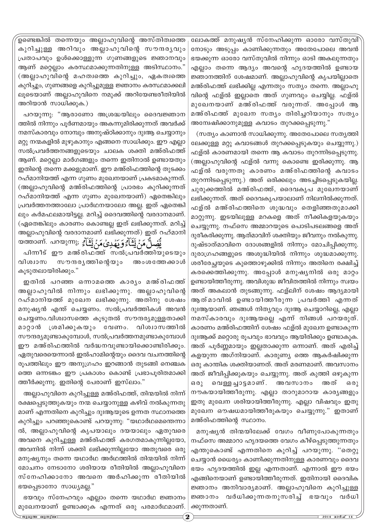'ഉണ്ടെങ്കിൽ തന്നെയും അല്ലാഹുവിന്റെ അസ്തിത്വത്തെ കുറിച്ചുള്ള അറിവും അല്ലാഹുവിന്റെ സൗന്ദര്യവും (പതാപവും ഉൾക്കൊള്ളുന്ന ഗുണങ്ങളുടെ ജ്ഞാനവും ആണ് മറ്റെല്ലാം കരസ്ഥമാക്കുന്നതിനുള്ള അടിസ്ഥാനം." (അല്ലാഹുവിന്റെ മഹത്വത്തെ കുറിച്ചും, ഏകത്വത്തെ കുറിച്ചും, ഗുണങ്ങളെ കുറിച്ചുമുള്ള ജ്ഞാനം കരസ്ഥമാക്കലി ലൂടെയാണ് അല്ലാഹുവിനെ നമുക്ക് അറിയേണ്ടരീതിയിൽ അറിയാൻ സാധിക്കുക.)

പറയുന്നു: "ആരാണോ അശ്രദ്ധയിലും ദൈവജ്ഞാന ത്തിൽ നിന്നും പൂർണമായും അകന്നുമിരിക്കുന്നത് അവർക്ക് നമസ്കാരവും നോമ്പും അനുഷ്ഠിക്കാനും ദുഃആ ചെയ്യാനും മറ്റു നന്മകളിൽ മുഴുകാനും എങ്ങനെ സാധിക്കും. ഈ എല്ലാ സൽപ്രവർത്തനങ്ങളുടെയും ചാലക ശക്തി മഅ്രിഫത്ത് ആണ്. മറ്റെല്ലാ മാർഗങ്ങളും തന്നെ ഇതിനാൽ ഉണ്ടായതും ഇതിന്റെ തന്നെ മക്കളുമാണ്. ഈ മഅ്രിഫത്തിന്റെ തുടക്കം റഹ്മാനിയത്ത് എന്ന ഗുണം മുഖേനയാണ് പ്രകടമാകുന്നത്. (അല്ലാഹുവിന്റെ മഅ്രിഫത്തിന്റെ പ്രാരഭം കുറിക്കുന്നത് റഹ്മാനിയത്ത് എന്ന ഗുണം മുഖേനയാണ്) ഏതെങ്കിലും (പവർത്തനത്താലോ പ്രാർഥനയാലോ അല്ല. ഇത് ഏതെങ്കി ലും കർമഫലമായിട്ടല്ല. മറിച്ച് ദൈവത്തിന്റെ വരദാനമാണ്. (ഏതെങ്കിലും കാരണം കൊണ്ടല്ല ഇത് ലഭിക്കുന്നത്. മറിച്ച് അല്ലാഹുവിന്റെ വരദാനമാണ് ലഭിക്കുന്നത്) ഇത് റഹ്മാനി لَّ مَنْ يَّتَٰىٰاً ۚ وَ يَهۡدِىۡ مَنۡ يَّتَٰىٰاً ۚ ; (യുന്ന مِنْ هَذَا وَ هَمَدۡ مِنْ ا

പിന്നീട് ഈ മഅ്രിഫത്ത് സൽപ്രവർത്തിയുടെയും വിശ്വാസ സൗന്ദരൃത്തിന്റെയും അംശത്തേക്കാൾ കൂടുതലായിരിക്കും."

ഇതിൽ പറഞ്ഞ ഒന്നാമത്തെ കാരൃം മഅ്രിഫത്ത് അല്ലാഹുവിൽ നിന്നും ലഭിക്കുന്നു. അല്ലാഹുവിന്റെ റഹ്മാനിയത്ത് മുഖേന ലഭിക്കുന്നു. അതിനു ശേഷം മനുഷ്യൻ എന്ത് ചെയ്യണം. സൽപ്രവർത്തികൾ അവൻ ചെയ്യണം.വിശ്വാസത്തെ കൂടുതൽ സൗന്ദര്യമുള്ളതാക്കി മാറ്റാൻ ശ്രമിക്കുകയും വേണം. വിശ്വാസത്തിൽ സൗന്ദര്യമുണ്ടാകുമ്പോൾ, സൽപ്രവർത്തനമുണ്ടാകുമ്പോൾ ഈ മഅ്രിഫത്തിൽ വർദ്ധനവുണ്ടായിക്കൊണ്ടിരിക്കൂം. ഏതുവരെയെന്നാൽ ഇൽഹാമിന്റെയും ദൈവ വചനത്തിന്റെ രൂപത്തിലും ഈ അനുഗ്രഹം ഇറങ്ങാൻ തുടങ്ങി നെഞ്ചക ത്തെ ഒന്നടങ്കം ഈ പ്രകാശം കൊണ്ട് പ്രഭാപൂരിതമാക്കി ത്തീർക്കുന്നു. ഇതിന്റെ പേരാണ് ഇസ്ലാം."

അല്ലാഹുവിനെ കുറിച്ചുള്ള മഅ്രിഫത്ത്, തിന്മയിൽ നിന്ന് രക്ഷപ്പെടുത്തുകയും നന്മ ചെയ്യാനുള്ള കഴിവ് നൽകുന്നതു മാണ് എന്നതിനെ കുറിച്ചും ദുഃആയുടെ ഉന്നത സ്ഥാനത്തെ കുറിച്ചും പറഞ്ഞുകൊണ്ട് പറയുന്നു: "യഥാർഥമെന്തെന്നാ ൽ, അല്ലാഹുവിന്റെ കൃപയാലും ദയയാലും ഏതുവരെ അവനെ കുറിച്ചുള്ള മഅ്രിഫത്ത് കരഗതമാകുന്നില്ലയോ, അവനിൽ നിന്ന് ശക്തി ലഭിക്കുന്നില്ലയോ അതുവരെ ഒരു മനുഷ്യനും തന്നെ യഥാർഥ അർഥത്തിൽ തിന്മയിൽ നിന്ന് മോചനം നേടാനോ ശരിയായ രീതിയിൽ അല്ലാഹുവിനെ സ്നേഹിക്കാനോ അവനെ അർഹിക്കുന്ന രീതിയിൽ ഭയപ്പെടാനോ സാധ്യമല്ല."

ഭയവും സ്നേഹവും എല്ലാം തന്നെ യഥാർഥ ജ്ഞാനം മുഖേനയാണ് ഉണ്ടാക്കുക എന്നത് ഒരു പരമാർഥമാണ്.

ലോകത്ത് മനുഷൃൻ സ്നേഹിക്കുന്ന ഓരോ വസ്തുവി` നോടും അടുപ്പം കാണിക്കുന്നതും അതേപോലെ അവൻ ഭയക്കുന്ന ഓരോ വസ്തുവിൽ നിന്നും ഓടി അകലുന്നതും എല്ലാം തന്നെ ആദ്യം അവന്റെ ഹൃദയത്തിൽ ഉണ്ടായ ⁄ജ്ഞാനത്തിന് ശേഷമാണ്. അല്ലാഹുവിന്റെ കൃപയില്ലാതെ മഅ്രിഫത്ത് ലഭിക്കില്ല എന്നതും സത്യം തന്നെ. അല്ലാഹു വിന്റെ ഫള്ൽ ഇല്ലാതെ അത് ഗുണവും ചെയ്യില്ല. ഫള്ൽ മുഖേനയാണ് മഅ്രിഫത്ത് വരുന്നത്. അപ്പോൾ **ആ** മഅ്രിഫത്ത് മുഖേന സത്യം തിരിച്ചറിയാനും സത്യം അന്വേഷിക്കാനുമുള്ള കവാടം തുറക്കപ്പെടുന്നു."

(സത്യം കാണാൻ സാധിക്കുന്നു. അതേപോലെ സത്യത്തി ലേക്കുള്ള മറ്റു കവാടങ്ങൾ തുറക്കപ്പെടുകയും ചെയ്യുന്നു.) ഹള്ൽ കാരണമായി തന്നെ ആ കവാടം തുറന്നിടപ്പെടുന്നു. (അല്ലാഹുവിന്റെ ഫള്ൽ വന്നു കൊണ്ടെ ഇരിക്കുന്നു. ആ ഫള്ൽ വരുന്നതു കാരണം മഅ്രിഫത്തിന്റെ കവാടം തുറന്നിടപ്പെടുന്നു.) അത് ഒരിക്കലും അടച്ചിടപ്പെടുകയില്ല. ചുരുക്കത്തിൽ മഅ്രിഫത്ത്, ദൈവകൃപ മുഖേനയാണ് ലഭിക്കുന്നത്. അത് ദൈവകൃപയാലാണ് നിലനിൽക്കുന്നത്. ഹള്ൽ മഅ്രിഫത്തിനെ ശുദ്ധവും തെളിഞ്ഞതുമാക്കി മാറ്റുന്നു. ഇടയിലുള്ള മറകളെ അത് നീക്കികളയുകയും ചെയ്യുന്നു. നഫ്സെ അമ്മാറയുടെ പൊടിപടലങ്ങളെ അത് ദുരീകരിക്കുന്നു. ആത്മാവിന് ശക്തിയും ജീവനും നൽകുന്നു. ദുഷ്ടാത്മാവിനെ ദോശങ്ങളിൽ നിന്നും മോചിപ്പിക്കുന്നു. ദുരാഗ്രഹങ്ങളുടെ അശുദ്ധിയിൽ നിന്നും ശുദ്ധമാക്കുന്നു. ശരീരേച്ഛയുടെ കുത്തൊഴുക്കിൽ നിന്നും അതിനെ രക്ഷിച്ച് കരക്കെത്തിക്കുന്നു. അപ്പോൾ മനുഷൃനിൽ ഒരു മാറ്റം ഉണ്ടായിത്തീരുന്നു. അവിശുദ്ധ ജീവിതത്തിൽ നിന്നും സ്വയം അത് അകലാൻ തുടങ്ങുന്നു. ഫള്ലിന് ശേഷം ആദ്യമായി ആത്മാവിൽ ഉണ്ടായിത്തീരുന്ന പ്രവർത്തി എന്നത് ദുഃആയാണ്. ഞങ്ങൾ നിതൃവും ദുഃആ ചെയ്യാറില്ലെ, എല്ലാ നമസ്കാരവും ദുഃആയല്ലെ എന്ന് നിങ്ങൾ പറയരുത്. കാരണം മഅ്രിഫത്തിന് ശേഷം ഫള്ൽ മുഖേന ഉണ്ടാകുന്ന ദുഃആക്ക് മറ്റൊരു രൂപവും ഭാവവും ആയിരിക്കും ഉണ്ടാകുക. അത് പൂർണ്ണമായും ഇല്ലതാക്കുന്ന ഒന്നാണ്. അത് എരിച്ച് കളയുന്ന അഗ്നിയാണ്. കാരുണ്യ ത്തെ ആകർഷിക്കുന്ന ഒരു കാന്തിക ശക്തിയാണത്. അത് മരണമാണ്. അവസാനം അത് ജീവിപ്പിക്കുകയും ചെയ്യുന്നു. അത് കുത്തി ഒഴുകുന്ന ഒരു വെള്ളച്ചാട്ടമാണ്. അവസാനം അത് ഒരു നൗകയായിത്തീരുന്നു. എല്ലാ താറുമാറായ കാര്യങ്ങളും ഇതു മുഖേന ശരിയായിത്തീരുന്നു. എല്ലാ വിഷവും ഇതു മുഖേന ഔഷധമായിത്തീരുകയും ചെയ്യുന്നു." ഇതാണ് മഅ്രിഫത്തിന്റെ സ്ഥാനം.

മനുഷൃൻ തിന്മയിലേക്ക് വേഗം വീണുപോകുന്നതും നഫ്സെ അമ്മാറാ ഹൃദയത്തെ വേഗം കീഴ്പ്പെടുത്തുന്നതും എന്തുകൊണ്ട് എന്നതിനെ കുറിച്ച് പറയുന്നു. "തെറ്റു ചെയ്യാൻ ധൈര്യം കാണിക്കുന്നതിനുള്ള കാരണവും ദൈവ ഭയം ഹൃദയത്തിൽ ഇല്ല എന്നതാണ്. എന്നാൽ ഈ ഭയം എങ്ങിനെയാണ് ഉണ്ടായിത്തീരുന്നത്. ഇതിനായി ദൈവിക *ജ്ഞാ*നം അനിവാരൃമാണ്. അല്ലാഹുവിനെ കുറിച്ചുള്ള  $\bm{v}$ ഞാനം വർധിക്കുന്നതനുസരിച്ച് ഭയവും വർധി ക്കുന്നതാണ്.

**PpapA JpXzv\_** 2 **2014 am¿Nv 14**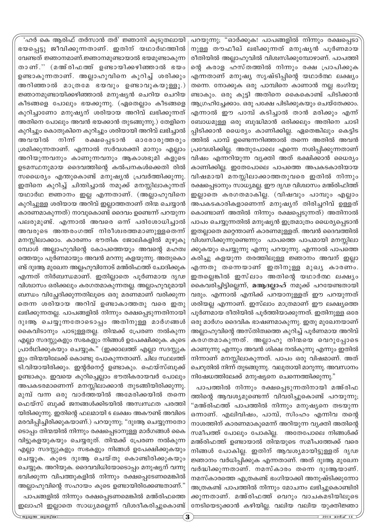പറയുന്നു; "ഓർക്കുക! പാപങ്ങളിൽ നിന്നും രക്ഷപ്പെടാ നുള്ള തൗഫീഖ് ലഭിക്കുന്നത് മനുഷൃൻ പൂർണമായ രീതിയിൽ അല്ലാഹുവിൽ വിശ്വസിക്കുമ്പോഴാണ്. പാപത്തി ന്റെ കരാള ഹസ്തത്തിൽ നിന്നും രക്ഷ പ്രാപിക്കുക എന്നതാണ് മനുഷ്യ സൃഷ്ടിപ്പിന്റെ യഥാർത്ഥ ലക്ഷ<del>്യ</del>ം തന്നെ. നോക്കുക ഒരു പാമ്പിനെ കാണാൻ നല്ല ഭംഗിയു ണ്ടാകും. ഒരു കുട്ടി അതിനെ കൈകൊണ്ട് പിടിക്കാൻ ആഗ്രഹിച്ചേക്കാം. ഒരു പക്ഷേ പിടിക്കുകയും ചെയ്തേക്കാം. എന്നാൽ ഈ പാമ്പ് കടിച്ചാൽ താൻ മരിക്കും എന്ന് ബോധമുള്ള ഒരു ബുദ്ധിമാൻ ഒരിക്കലും അതിനെ ചാടി പ്പിടിക്കാൻ ധൈര്യം കാണിക്കില്ല. ഏതെങ്കിലും കെട്ടിട ത്തിൽ പാമ്പ് ഉണ്ടെന്നറിഞ്ഞാൽ തന്നെ അതിൽ അവൻ (പവേശിക്കില്ല. അതുപോലെ എന്നെ നശിപ്പിക്കുന്നതാണ് വിഷം എന്നറിയുന്ന വ്യക്തി അത് ഭക്ഷിക്കാൻ ധൈര്യം കാണിക്കില്ല. ഇതേപോലെ പാപത്തെ അപകടകാരിയായ വിഷമായി മനസ്സിലാക്കാത്തതുവരെ ഇതിൽ നിന്നും രക്ഷപ്പെടാനും സാധ്യമല്ല. ഈ ദൃഢ വിശ്വാസം മഅ്രിഫിത്ത് ഇല്ലാതെ കരഗതമാകില്ല. (വിഷവും പാമ്പും എല്ലാം അപകടകാരികളാണെന്ന് മനുഷൃന് തിരിച്ചറിവ് ഉള്ളത് കൊണ്ടാണ് അതിൽ നിന്നും രക്ഷപ്പെടുന്നത്) അതിനാൽ പാപം ചെയ്യുന്നതിൽ മനുഷ്യൻ ഇത്രമാത്രം ധൈര്യപ്പെടാൻ ഇതല്ലാതെ മറ്റെന്താണ് കാരണമുള്ളത്. അവൻ ദൈവത്തിൽ വിശ്വസിക്കുന്നുണ്ടെന്നും പാപത്തെ പാപമായി മനസ്സിലാ ക്കുകയും ചെയ്യുന്നു എന്നു പറയുന്നു. എന്നാൽ പാപത്തെ കരിച്ചു കളയുന്ന തരത്തിലുള്ള ജ്ഞാനം അവന് ഇല്ലാ എന്നതു തന്നെയാണ് ഇതിനുള്ള മുഖൃ കാരണം. ഇതല്ലെങ്കിൽ ഇസ്ലാം അതിന്റെ യഥാർത്ഥ ലക്ഷൃം കൈവരിച്ചിട്ടില്ലെന്ന്, **മആദല്ലാഹ്** നമുക്ക് പറയേണ്ടതായി വരും. എന്നാൽ എനിക്ക് പറയാനുള്ളത് ഈ പറയുന്നത് ശരിയല്ല എന്നാണ്. ഇസ്ലാം മാത്രമാണ് ഈ ലക്ഷ്യത്ത<u>െ</u> പൂർണമായ രീതിയിൽ പൂർത്തിയാക്കുന്നത്. ഇതിനുള്ള ഒരേ ഒരു മാർഗം ദൈവിക ഭാഷണമാകുന്നു. ഇതു മുഖേനയാണ് അല്ലാഹുവിന്റെ അസ്തിത്വത്തെ കുറിച്ച് പൂർണമായ അറിവ് കരഗതമാകുന്നത്. അല്ലാഹു തിന്മയെ വെറുപ്പോടെ കാണുന്നു എന്നും അവൻ ശിക്ഷ നൽകുന്നു എന്നും ഇതിൽ നിന്നാണ് മനസ്സിലാകുന്നത്. പാപം ഒരു വിഷമാണ്. അത് ചെറുതിൽ നിന്ന് തുടങ്ങുന്നു. വലുതായി മാറുന്നു. അവസാനം  $\Omega$ നിഷേധത്തിലേക്ക് മനുഷ്യനെ ചെന്നെത്തിക്കുന്നു. $\Omega$ 

പാപത്തിൽ നിന്നും രക്ഷപ്പെടുന്നതിനായി മഅ്രിഫ ത്തിന്റെ ആവശ്യമുണ്ടെന്ന് വിവരിച്ചുകൊണ്ട് പറയുന്നു; "മഅ്രിഫത്ത് പാപത്തിൽ നിന്നും മനുഷ്യനെ തടയുന്ന ഒന്നാണ്. എലിവിഷം, പാമ്പ്, സിംഹം എന്നിവ തന്റെ നാശത്തിന് കാരണമാകുമെന്ന് അറിയുന്ന വൃക്തി അതിന്റെ സമീപത്ത് പോലും പോകില്ല. അതേപോലെ നിങ്ങൾക്ക് മഅ്രിഫത്ത് ഉണ്ടായാൽ തിന്മയുടെ സമീപത്തേക്ക് വരെ നിങ്ങൾ പോകില്ല. ഇതിന് ആവശ്യമായിട്ടുള്ളത് ദൃഢ ⁄ ജ്ഞാനം വർധിപ്പിക്കുക എന്നതാണ്. അത് ദുഃആ മുഖേന വർദ്ധിക്കുന്നതാണ്. നമസ്കാരം തന്നെ ദുഃആയാണ്. നമസ്കാരത്തെ എത്രകണ്ട് ഭംഗിയാക്കി അനുഷ്ടിക്കുന്നോ അത്രകണ്ട് പാപത്തിൽ നിന്നും മോചനം ലഭിച്ചുകൊണ്ടിരി ക്കുന്നതാണ്. മഅ്രിഫത്ത് വെറും വാചകമടിയിലൂടെ നേടിയെടുക്കാൻ കഴിയില്ല. വലിയ വലിയ യുക്തിജ്ഞാ

ഭയപ്പെട്ടു ജീവിക്കുന്നതാണ്. ഇതിന് യഥാർഥത്തിൽ വേണ്ടത് ജ്ഞാനമാണ്.ജ്ഞാനമുണ്ടായാൽ ഭയമുണ്ടാകുന്ന താണ്.'' (മഅ്രിഫത്ത് ഉണ്ടായിക്കഴിഞ്ഞാൽ ഭയം ഉണ്ടാകുന്നതാണ്. അല്ലാഹുവിനെ കുറിച്ച് ശരിക്കും അറിഞ്ഞാൽ മാത്രമേ ഭയവും ഉണ്ടാവുകയുള്ളൂ.) *ജ്ഞാന*മുണ്ടായിക്കഴിഞ്ഞാൽ മനുഷൃൻ ചെറിയ ചെറിയ കീടങ്ങളെ പോലും ഭയക്കുന്നു. (ഏതെല്ലാം കീടങ്ങളെ കുറിച്ചാണോ മനുഷ്യന് ശരിയായ അറിവ് ലഭിക്കുന്നത് അതിനെ പോലും അവൻ ഭയക്കാൻ തുടങ്ങുന്നു.) തേളിനെ കുറിച്ചും കൊതുകിനെ കുറിച്ചും ശരിയായി അറിവ് ലഭിച്ചാൽ അവയിൽ നിന്ന് രക്ഷപ്പെടാൻ ഓരോരുത്തരും (ശമിക്കുന്നതാണ്. എന്നാൽ സർവശക്തി മാനും എല്ലാം അറിയുന്നവനും കാണുന്നവനും ആകാശഭൂമി കളുടെ ഉടമസ്ഥനുമായ ദൈവത്തിന്റെ കൽപനകൾക്കെതി രിൽ സധൈര്യം എന്തുകൊണ്ട് മനുഷ്യൻ പ്രവർത്തിക്കുന്നു. ഇതിനെ കുറിച്ച് ചിന്തിച്ചാൽ നമുക്ക് മനസ്സിലാകുന്നത് യഥാർഥ ജ്ഞാനം ഇല്ല എന്നതാണ്. (അല്ലാഹുവിനെ കുറിച്ചുള്ള ശരിയായ അറിവ് ഇല്ലാത്തതാണ് തിന്മ ചെയ്യാൻ കാരണമാകുന്നത്) നാവുകൊണ്ട് ദൈവം ഉണ്ടെന്ന് പറയുന്ന പലരുമുണ്ട്. എന്നാൽ അവരെ ഒന്ന് പരിശോധിച്ചാ**ൽ** അവരുടെ അന്തരംഗത്ത് നിരീശ്വരത്തമാണുള്ളതെന്ന് മനസ്സിലാക്കാം. കാരണം ഭൗതിക ജോലികളിൽ മുഴുകു മ്പോൾ അല്ലാഹുവിന്റെ കോപത്തെയും അവന്റെ മഹത്വ ത്തെയും പൂർണമായും അവൻ മറന്നു കളയുന്നു. അതുകൊ ണ്ട് ദുഃആ മുഖേന അല്ലഹുവിനോട് മഅ്രിഫത്ത് ചോദിക്കുക എന്നത് നിർബന്ധമാണ്. ഇതില്ലാതെ പൂർണമായ ദൃഢ വിശ്വാസം ഒരിക്കലും കരഗതമാകുന്നതല്ല. അല്ലാഹുവുമായി ബന്ധം വിച്ഛേദിക്കുന്നതിലൂടെ ഒരു മരണമാണ് വരിക്കുന്ന തെന്ന ശരിയായ അറിവ് ഉണ്ടാകാത്തതു വരെ ഇതു ലഭിക്കുന്നതല്ല. പാപങ്ങളിൽ നിന്നും രക്ഷപ്പെടുന്നതിനായി ദുഃആ ചെയ്യുന്നതോടൊപ്പം അതിനുള്ള മാർഗങ്ങൾ കൈവിടാനും പാടുള്ളതല്ല. തിന്മക്ക് പ്രേരണ നൽകുന്ന എല്ലാ സദസ്സുകളും സഭകളും നിങ്ങൾ ഉപേക്ഷിക്കുക. കൂടെ  ${ }$ പ്രാർഥിക്കുകയും ചെയ്യുക." (ഇക്കാലത്ത് എല്ലാ സദസ്സുക ളും തിന്മയിലേക്ക് കൊണ്ടു പോകുന്നതാണ്. ചില സ്ഥലത്ത് ടി.വിയായിരിക്കും. ഇന്റർനെറ്റ് ഉണ്ടാകും. ഫെയ്സ്ബുക്ക് ഉണ്ടാകും. ഇവയെ കുറിച്ചെല്ലാം ഭൗതികരായവർ പോലും അപകടരമാണെന്ന് മനസ്സിലാക്കാൻ തുടങ്ങിയിരിക്കുന്നു. മുമ്പ് വന്ന ഒരു വാർത്തയിൽ അമേരിക്കയിൽ തന്നെ ഫെയ്സ് ബുക്ക് ജനങ്ങൾക്കിടയിൽ അസ്വസ്ഥത പരത്തി യിരിക്കുന്നു. ഇതിന്റെ ഫലമായി 6 ലക്ഷം അകൗണ്ട് അവിടെ മരവിപ്പിച്ചിരിക്കുകയാണ്.) പറയുന്നു; "ദുഃആ ചെയ്യുന്നതോ ടൊപ്പം തിന്മയിൽ നിന്നും രക്ഷപ്പെടാനുള്ള മാർഗങ്ങൾ കൈ വിട്ടുകളയുകയും ചെയ്യരുത്. തിന്മക്ക് പ്രേരണ നൽകുന്ന എല്ലാ സദസ്സുകളും സഭകളും നിങ്ങൾ ഉപേക്ഷിക്കുകയും ചെയ്യുക. കൂടെ ദുഃആ ചെയ്തു കൊണ്ടിരിക്കുകയും ചെയ്യുക. അറിയുക. ദൈവവിധിയോടൊപ്പം മനുഷ്യന് വന്നു ഭവിക്കുന്ന വിപത്തുകളിൽ നിന്നും രക്ഷപ്പെടേണമെങ്കിൽ അല്ലാഹുവിന്റെ സഹായം കൂടെ ഉണ്ടായിരിക്കേണ്ടതാണ്." പാപങ്ങളിൽ നിന്നും രക്ഷപ്പെടണമെങ്കിൽ മഅ്രിഫത്തെ

ഇലാഹി ഇല്ലാതെ സാധ്യമല്ലെന്ന് വിശദീകരിച്ചുകൊണ്ട്

'ഹർ കെ ആരിഫ് തർസാൻ തർ' ജ്ഞാനി കൂടുതലായി

ജുമുഅ ഖുത്വ് 2014 മാർച് 14 **2014 ജ**ുഹൃദ<sup>േ</sup> 3 കോണ്ട്രിക്കാന് 2014 മാർച്ച് 14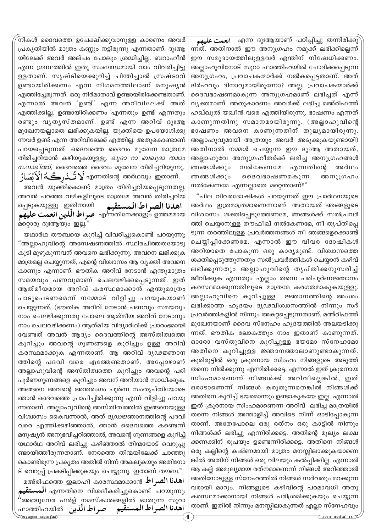**محمت عليهم**) എന്ന ദുഃആയാണ് പഠിപ്പിച്ചു തന്നിരിക്കു ന്നത്. അതിനാൽ ഈ അനുഗ്രഹം നമുക്ക് ലഭിക്കില്ലെന്ന് ന്നത. അതിനാൽ ഈ അനുഗ്രഹം നമുക്ക ലഭിക്കില്ലെന്ന<br>ഈ സമുദായത്തിലുള്ളവർ എന്തിന് നിഷേധിക്കണം. അല്ലാഹുവിനോട് സൂറാ ഫാത്തിഹയിൽ ചോദിക്കപ്പെടുന്ന അനുശ്രഹം, പ്രവാചകന്മാർക്ക് നൽകപ്പെട്ടതാണ്. അത് ദിർഹവും ദിനാറുമായിരുന്നോ? അല്ല. പ്രവാചകന്മാർക്ക് ദൈവഭാഷണമാകുന്ന അനുഗ്രഹമാണ് ലഭിച്ചത് എന്ന് വ്യക്തമാണ്. അതുകാരണം അവർക്ക് ലഭിച്ച മഅ്രിഫത്ത് ഹഖ്ഖുൽ യഖീൻ വരെ എത്തിയിരുന്നു. ഭാഷണം എന്നത് കാണുന്നതിനു സമാനമായിരുന്നു. (അല്ലാഹുവിന്റെ ഭാഷണം അവനെ കാണുന്നതിന് തുലൃമായിരുന്നു. അല്ലാഹുവുമായി അത്രയും അവർ അടുക്കുകയുണ്ടായി) അതിനാൽ നമ്മൾ ചെയ്യുന്ന ഈ ദുഃആ അതായത്, അല്ലാഹുവേ അനുഗ്രഹീതർക്ക് ലഭിച്ച അനുഗ്രഹങ്ങൾ ഞങ്ങൾക്കും നൽകേണമേ എന്നതിന്റെ അർഥം ഞങ്ങൾക്കും ദൈവഭാഷണമകുന്ന അനു∟ഗഹം നൽകേണമേ എന്നല്ലാതെ മറ്റെന്താണ്?" **ø ( Ö ö**

"ചില വിവരദോഷികൾ പറയുന്നത് ഈ പ്രാർഥനയുടെ അർഥം ഇത്രമാത്രമാണെന്നാണ്. അതായത് ഞങ്ങളുടെ വിശ്വാസം ശക്തിപ്പെടുത്തേണമേ, ഞങ്ങൾക്ക് സൽപ്രവർ ത്തി ചെയ്യാനുള്ള തൗഫീഖ് നൽകേണമേ, നീ തൃപ്തിപ്പെ ടുന്ന തരത്തിലുള്ള പ്രവർത്തനങ്ങൾ നീ ഞങ്ങളെക്കൊണ്ട് ചെയ്യിപ്പിക്കേണമേ. എന്നാൽ ഈ വിവര ദോഷികൾ അറിയാതെ പോകുന്ന ഒരു കാര്യമുണ്ട്. വിശ്വാസത്തെ ശക്തിപ്പെടുത്തുന്നതും സൽപ്രവർത്തികൾ ചെയ്യാൻ കഴിവ് ലഭിക്കുന്നതും അല്ലാഹുവിന്റെ തൃപ്തിക്കനുസരിച്ച് ജീവിക്കുക എന്നതും എല്ലാം തന്നെ പരിപൂർണജ്ഞാനം കരസ്ഥമാക്കുന്നതിലൂടെ മാത്രമേ കരഗതമാകുകയുള്ളൂ. അല്ലാഹുവിനെ കുറിച്ചുള്ള <sup>.</sup> ജ്ഞാനത്തിന്റെ അംശം ലഭിക്കാത്ത ഹൃദയം ദൃഢവിശ്വാസത്തിൽ നിന്നും സദ് പ്രവർത്തികളിൽ നിന്നും അകറ്റപ്പെടുന്നതാണ്. മഅ്രിഫത്ത് മുഖേനയാണ് ദൈവ സ്നേഹം ഹൃദയത്തിൽ അലയടിക്കു ന്നത്. ഭൗതിക ലോകത്തും നാം ഇതാണ് കാണുന്നത്. ഓരോ വസ്തുവിനെ കുറിച്ചുള്ള ഭയമോ സ്നേഹമോ അതിനെ കുറിച്ചുള്ള ജ്ഞാനത്താലാണുണ്ടാകുന്നത്. കൂരിരുട്ടിൽ ഒരു ക്രൂരനായ സിംഹം നിങ്ങളുടെ അടുത്ത് തന്നെ നിൽക്കുന്നു എന്നിരിക്കട്ടെ. എന്നാൽ ഇത് ക്രൂരനായ സിംഹമാണെന്ന് നിങ്ങൾക്ക് അറിവില്ലെങ്കിൽ, ഇത് ഒരാടാണെന്ന് നിങ്ങൾ കരുതുന്നതെങ്കിൽ നിങ്ങൾക്ക് അതിനെ കുറിച്ച് ഭയമൊന്നും ഉണ്ടാകുകയേ ഇല്ല. എന്നാൽ ഇത് ക്രൂരനായ സിംഹമാണെന്ന അറിവ് ലഭിച്ച മാത്രയിൽ തന്നെ നിങ്ങൾ അന്താളിച്ച് അവിടെ നിന്ന് ഓടിപ്പോകുന്ന താണ്. അതേപോലെ ഒരു രത്നം ഒരു കാട്ടിൽ നിന്നും നിങ്ങൾക്ക് ലഭിച്ചു എന്നിരിക്കട്ടെ. അതിന്റെ മൂല്യം ലക്ഷ ക്കണക്കിന് രൂപയും ഉണ്ടെന്നിരിക്കട്ടെ. അതിനെ നിങ്ങൾ ഒരു കല്ലിന്റെ കഷ്ണമായി മാത്രം മനസ്സിലാക്കുകയാണെ ങ്കിൽ അതിന് നിങ്ങൾ ഒരു വിലയും കൽപ്പിക്കില്ല. എന്നാൽ ആ കല്ല് അമൂല്യമായ രത്നമാണെന്ന് നിങ്ങൾ അറിഞ്ഞാൽ അതിനോടുള്ള സ്നേഹത്തിൽ നിങ്ങൾ സർവതും മറക്കുന്ന വരായി മാറും. നിങ്ങളുടെ കഴിവിന്റെ പരമാവധി അതു കരസ്ഥമാക്കാനായി നിങ്ങൾ പരിശ്രമിക്കുകയും ചെയ്യുന്ന താണ്. ഇതിൽ നിന്നും മനസ്സിലാകുന്നത് എല്ലാ സ്നേഹവും

നികൾ ദൈവത്തെ ഉപേക്ഷിക്കുവാനുള്ള കാരണം അവർ (പകൃതിയിൽ മാത്രം കണ്ണും നട്ടിരുന്നു എന്നതാണ്. ദുഃആ യിലേക്ക് അവർ അല്പം പോലും ശ്രദ്ധിച്ചില്ല. ബറാഹീൻ എന്ന ഗ്രന്ഥത്തിൽ ഇതു സംബന്ധമായി നാം വിവരിച്ചിട്ടു ള്ളതാണ്. സൃഷ്ടിയെക്കുറിച്ച് ചിന്തിച്ചാൽ ത്രഷ്ടാവ് ഉണ്ടായിരിക്കണം എന്ന നിഗമനത്തിലാണ് മനുഷൃൻ എത്തിച്ചേരുന്നത്. ഒരു നിർമാതാവ് ഉണ്ടായിരിക്കേണ്ടതാണ്. എന്നാൽ അവൻ 'ഉണ്ട്' എന്ന അറിവിലേക്ക് അത് എത്തിക്കില്ല. ഉണ്ടായിരിക്കണം എന്നതും ഉണ്ട് എന്നതു<del>ം</del> രണ്ടും വൃതൃസ്തമാണ്. ഉണ്ട് എന്ന അറിവ് ദുഃആ മുഖേനയല്ലാതെ ലഭിക്കുകയില്ല. യുക്തിയെ ഉപയോഗിക്കു ന്നവർ ഉണ്ട് എന്ന അറിവിലേക്ക് എത്തില്ല. അതുകൊണ്ടാണ് പറയപ്പെടുന്നത്. ദൈവത്തെ ദൈവം മുഖേന മാത്രമേ തിരിച്ചറിയാൻ കഴിയുകയുള്ളൂ. *ഖുദാ റാ ബഖുദാ തമാം*  $m$ *നാഖ്ത്ത്*, ദൈവത്തെ ദൈവം മുഖേന തിരിച്ചറിയുന്നു. آلاَبُصَارُ എന്നതിന്റെ അർഥവും ഇതാണ്.

അവൻ പറഞ്ഞ വഴികളിലൂടെ മാത്രമേ അവൻ തിരിച്ചറിയ صراط الّلّين العمّت عليهم **(** അവൻ യുക്തികൊണ്ട് മാത്രം തിരിച്ചറിയപ്പെടുന്നതല്ല. പ്പെടുകയുള്ളൂ. ഇതിനായി صو എന്നതിനേക്കാളും ഉത്തമമായ <u>മറ്റൊരു ദുഃആയും ഇല്ല.''</u> **ŠjÏnÜ †]½]ÖÛ ]â'Þ^]Ö' '†]½]Ö Â×nãÜ k "mà]ÞÃÛ ù**

ജാശു ദുഃആയും ഇല്ല.<br>യഥാർഥ തൗബയെ കുറിച്ച് വിവരിച്ചുകൊണ്ട് പറയുന്നു; **ø Ö** ์<br>ภ <mark>"അല്ലാഹുവിന്റെ അന്വേഷണത്തിൽ സ്ഥിരചിത്ത</mark>തയോടു<br>കൂടി മുഴുകുന്നവന് അവനെ ലഭിക്കുന്നു. അവനെ ലഭിക്കുക കൂടി മുഴുകുന്നവന് അവനെ ലഭിക്കുന്നു. അവനെ ലഭിക്കുക മാത്രമല്ല ചെയ്യുന്നത്, എന്റെ വിശ്വാസം ആ വൃക്തി അവനെ കാണും എന്നാണ്. ഭൗതിക അറിവ് നേടാൻ എന്തുമാത്രം സമയവും പണവുമാണ് ചെലവഴിക്കപ്പെടുന്നത്. ഇത് ആത്മീയമായ അറിവ് കരസ്ഥമാക്കാൻ എന്തുമാത്രം പാടുപെടണമെന് നമ്മോട് വിളിച്ചു പറയുകയാണ് ചെയ്യുന്നത്. (ഭൗതിക അറിവ് നേടാൻ പണവും സമയവും നാം ചെലഴിക്കുന്നതു പോലെ ആത്മീയ അറിവ് നേടാനും നാം ചെലവഴിക്കണം) ആത്മീയ വിദ്യാർഥിക്ക് പ്രാരംഭമായി വേണ്ടത് അവൻ ആദ്യം ദൈവത്തിന്റെ അസ്തിത്വത്തെ കുറിച്ചും അവന്റെ ഗുണങ്ങളെ കുറിച്ചും ഉള്ള അറിവ് കരസ്ഥമാക്കുക എന്നതാണ്. ആ അറിവ് ദൃഢജ്ഞാന ത്തിന്റെ പദവി വരെ എത്തേണ്ടതാണ്. അപ്പോഴാണ് അല്ലാഹുവിന്റെ അസ്തിത്വത്തെ കുറിച്ചും അവന്റെ പരി പൂർണഗുണങ്ങളെ കുറിച്ചും അവന് അറിയാൻ സാധിക്കുക. അങ്ങനെ അവന്റെ അന്തരംഗം പൂർണ സംതൃപ്തിയോടെ ഞാൻ ദൈവത്തെ പ്രാപിച്ചിരിക്കുന്നു എന്ന് വിളിച്ചു പറയു ന്നതാണ്. അല്ലാഹുവിന്റെ അസ്തിത്വത്തിൽ ഇങ്ങനെയുള്ള വിശ്വാസം കൈവന്നാൽ, അത് ദൃഢജ്ഞാനത്തിന്റെ പദവി വരെ എത്തിക്കഴിഞ്ഞാൽ, ഞാൻ ദൈവത്തെ കണ്ടെന്ന് മനുഷ്യൻ അനുഭവിച്ചറിഞ്ഞാൽ, അവന്റെ ഗുണങ്ങളെ കുറിച്ച് യഥാർഥ അറിവ് ലഭിച്ചു കഴിഞ്ഞാൽ തിന്മയോട് വെറുപ്പു ണ്ടായിത്തീരുന്നതാണ്. നേരത്തെ തിന്മയിലേക്ക് ചാഞ്ഞു കൊണ്ടിരുന്ന പ്രകൃതം അതിൽ നിന്ന് അകലുകയും അതിനോ ട് വെറുപ്പ് പ്രകടിപ്പിക്കുകയും ചെയ്യുന്നു. ഇതാണ് തൗബ." **ø ( Ö \$ ö**

ജുമുഅ ഖുത്വ് **മൂന്ന് മാസ് പ്രധാന മാസ് 14 മു**ഹ്മൂര് 2014 മാർച്ച് 14 ا**هدنا الصراط** ‱ه‱مه امەدىء@@aഅ്@م  $\mathbf{W}^{\bullet}$ ്ക്ക്ക്ക് ആക്ഷേപ്പെടുത്തു.<br>"അഞ്ചുനേര ഫർള് നമസ്കാരങ്ങളിൽ ഓതുന്ന സൂറാ **Âø× ø nûãÜö]Ö" ô ( Ö \$è ø ÛøŠûÓ ûæø]Ö ø èô ö ß بشتقيم) എന്നതിനെ വിശദീകരിച്ചുകൊണ്ട് പറയുന്നു;**<br>سمت **'†]½]Ö Â×nãÜ k "mà]ÞÃÛ ù '†]½]Ö Â×nãÜ k "mà]ÞÃÛ ù** ^mØnlbn¬ **ŠjÏnÜ †]½]ÖÛ ]â'Þ^]Ö' ( \$è**

**'†]½]Ö Â×nãÜ k "mà]ÞÃÛ ù**

**( \$è**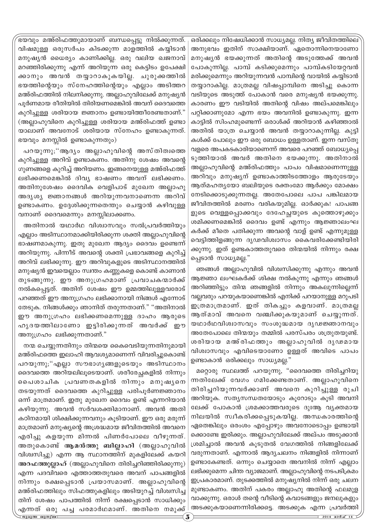`ഭയവും മഅ്രിഫത്തുമായാണ് ബന്ധപ്പെട്ടു നിൽക്കുന്നത്. വിഷമുള്ള ഒരുസർപം കിടക്കുന്ന മാളത്തിൽ കയ്യിടാൻ മനുഷ്യൻ ധൈര്യം കാണിക്കില്ല. ഒരു വലിയ ഖജനാവ് മറഞ്ഞിരിക്കുന്നു എന്ന് അറിയുന്ന ഒരു കെട്ടിടം ഉപേക്ഷി ക്കാനും അവൻ തയ്യാറാകുകയില്ല. ചുരുക്കത്തിൽ ഭയത്തിന്റെയും സ്നേഹത്തിന്റെയും എല്ലാം അടിത്തറ മഅ്രിഫത്തിൽ നിലനിക്കുന്നു. അല്ലാഹുവിലേക്ക് മനുഷ്യൻ പൂർണമായ രീതിയിൽ തിരിയണമെങ്കിൽ അവന് ദൈവത്തെ കുറിച്ചുള്ള ശരിയായ ജ്ഞാനം ഉണ്ടായിത്തീരേണ്ടതാണ്." (അല്ലാഹുവിനെ കുറിച്ചുള്ള ശരിയായ മഅ്രിഫത്ത് ഉണ്ടാ യാലാണ് അവനോട് ശരിയായ സ്നേഹം ഉണ്ടാകുന്നത്.  $\bm s\infty$ വും മനസ്സിൽ ഉണ്ടാകുന്നതും)

പറയുന്നു;"ആദ്യം അല്ലാഹുവിന്റെ അസ്തിത്വത്തെ കുറിച്ചുള്ള അറിവ് ഉണ്ടാകണം. അതിനു ശേഷം അവന്റെ ഗുണങ്ങളെ കുറിച്ച് അറിയണം. ഇങ്ങനെയുള്ള മഅ്രിഫത്ത് ലഭിക്കണമെങ്കിൽ ദിവ്യ ഭാഷണം അവന് ലഭിക്കണം. അതിനുശേഷം ദൈവിക വെളിപാട് മുഖേന അല്ലാഹു അദൃശൃ ജ്ഞാനങ്ങൾ അറിയുന്നവനാണെന്ന അറിവ് ഉണ്ടാകണം. ഉദ്ദേശിക്കുന്നതെന്തും ചെയ്യാൻ കഴിവുള്ള വനാണ് ദൈവമെന്നും മനസ്സിലാക്കണം.

അതിനാൽ യഥാർഥ വിശ്വാസവും സൽപ്രവർത്തിയും എല്ലാം അടിസ്ഥാനമാക്കിയിരിക്കുന്ന ശക്തി അല്ലാഹുവിന്റെ ഭാഷണമാകുന്നു. ഇതു മുഖേന ആദ്യം ദൈവം ഉണ്ടെന്ന് അറിയുന്നു. പിന്നീട് അവന്റെ ശക്തി പ്രഭാവങ്ങളെ കുറിച്ച് അറിവ് ലഭിക്കുന്നു. ഈ അറിവുകളുടെ അടിസ്ഥാനത്തിൽ മനുഷ്യൻ ഇവയെല്ലാം സ്വന്തം കണ്ണുകളെ കൊണ്ട് കാണാൻ തുടങ്ങുന്നു. ഈ അനുഗ്രഹമാണ് പ്രവാചകന്മാർക്ക് നൽകപ്പെട്ടത്. അതിന് ശേഷം ഈ ഉമ്മത്തിലുള്ളവരോട് പറഞ്ഞത് ഈ അനുഗ്രഹം ലഭിക്കാനായി നിങ്ങൾ എന്നോട് തേടുക. നിങ്ങൾക്കും ഞാനിത് തരുന്നതാണ്." "അതിനാൽ ഈ അനുഗ്രഹം ലഭിക്കണമെന്നുള്ള ദാഹം ആരുടെ ഹൃദയത്തിലാണോ ഇട്ടിരിക്കുന്നത് അവർക്ക് ഈ അനുഗ്രഹം ലഭിക്കുന്നതാണ്."

നന്മ ചെയ്യുന്നതിനും തിന്മയെ കൈവെടിയുന്നതിനുമായി മഅ്രിഫത്തെ ഇലാഹി ആവശൃമാണെന്ന് വിവരിച്ചുകൊണ്ട് പറയുന്നു;"എല്ലാ സൗഭാഗൃങ്ങളുടെയും അടിസ്ഥാനം ദെവത്തെ അറിയലിലൂടെയാണ്. ശരീരേച്ചകളിൽ നിന്നും ചൈശാചിക പ്രവണതകളിൽ നിന്നും മനുഷൃനെ തടയുന്നത് ദൈവത്തെ കുറിച്ചുള്ള പരിപൂർണജ്ഞാനം ഒന്ന് മാത്രമാണ്. ഇതു മുഖേന ദൈവം ഉണ്ട് എന്നറിയാൻ കഴിയുന്നു. അവൻ സർവശക്തിമാനാണ്. അവൻ അതി കഠിനമായി ശിക്ഷിക്കുന്നവനും കൂടിയാണ്. ഈ ഒരു മരുന്ന് മാത്രമാണ് മനുഷ്യന്റെ അശ്രദ്ധമായ ജീവിതത്തിൽ അവനെ എരിച്ചു കളയുന്ന മിന്നൽ പിണർപോലെ വീഴുന്നത്. അതുകൊണ്ട് ആമൻത്തു ബില്ലാഹി (അല്ലാഹുവിൽ വിശ്വസിച്ചു) എന്ന ആ സ്ഥാനത്തിന് മുകളിലേക്ക് കയറി അറഫത്തുല്ലാഹ് (അല്ലാഹുവിനെ തിരിച്ചറിഞ്ഞിരിക്കുന്നു) എന്ന പദവിവരെ എത്താത്തതുവരെ അവന് പാപങ്ങളിൽ നിന്നും രക്ഷപ്പെടാൻ പ്രയാസമാണ്. അല്ലാഹുവിന്റെ മഅ്രിഫത്തിലും സിഫത്തുകളിലും അടിയുറച്ച് വിശ്വസിച്ച തിന് ശേഷം പാപത്തിൽ നിന്ന് രക്ഷപ്പെടാൻ സാധിക്കും എന്നത് ഒരു പച്ച പരമാർഥമാണ്. അതിനെ നമുക്ക് ഒരിക്കലും നിഷേധിക്കാൻ സാധ്യമല്ല. നിത്യ ജീവിതത്തിലെ<sup>.</sup> അനുഭവം ഇതിന് സാക്ഷിയാണ്. ഏതൊന്നിനെയാണോ മനുഷൃൻ ഭയക്കുന്നത് അതിന്റെ അടുത്തേക്ക് അവ**ൻ** പോകുന്നില്ല. പാമ്പ് കടിക്കുമെന്നും പാമ്പ്കടിയേറ്റവൻ മരിക്കുമെന്നും അറിയുന്നവൻ പാമ്പിന്റെ വായിൽ കയ്യിടാൻ തയ്യാറാകില്ല. മാത്രമല്ല വിഷപ്പാമ്പിനെ അടിച്ചു കൊന്ന വടിയുടെ അടുത്ത് പോകാൻ വരെ മനുഷ്യൻ ഭയക്കുന്നു. കാരണം ഈ വടിയിൽ അതിന്റെ വിഷം അല്പമെങ്കിലും പറ്റിക്കാണുമോ എന്ന ഭയം അവനിൽ ഉണ്ടാകുന്നു. ഇന്ന കാട്ടിൽ സിംഹമുണ്ടെന്ന് ഒരാൾക്ക് അറിയാൻ കഴിഞ്ഞാൽ അതിൽ യാത്ര ചെയ്യാൻ അവൻ തയ്യാറാകുന്നില്ല. കുട്ടി കൾക്ക് പോലും ഈ ഒരു ബോധം ഉള്ളതാണ്. ഇന്ന വസ്തു വളരെ അപകടകാരിയാണെന്ന് അവരെ പറഞ്ഞ് ബോധൃപ്പെ ടുത്തിയാൽ അവർ അതിനെ ഭയക്കുന്നു. അതിനാൽ അല്ലാഹുവിന്റെ മഅ്രിഫത്തും പാപം വിഷമാണെന്നുള്ള അറിവും മനുഷ്യന് ഉണ്ടാകാത്തിടത്തോളം ആരുടേയും ആത്മഹത്യയോ ബലിയുടെ രക്തംമോ ആർക്കും മോക്ഷം നേടിക്കൊടുക്കുന്നതല്ല. അതേപോലെ പാപ പങ്കിലമായ ജീവിതത്തിൽ മരണം വരികയുമില്ല. ഓർക്കുക! പാപങ്ങ ളുടെ വെള്ളപ്പൊക്കവും ദേഹേച്ഛയുടെ കുത്തൊഴുക്കും ശമിക്കണമെങ്കിൽ ദൈവം ഉണ്ട് എന്നും ആജ്ഞാലംഘ കർക്ക് മീതെ പതിക്കുന്ന അവന്റെ വാള് ഉണ്ട് എന്നുമുള്ള വെട്ടിത്തിളങ്ങുന്ന ദൃഢവിശ്വാസം കൈവരിക്കേണ്ടിയിരി ക്കുന്നു. ഇത് ഉണ്ടകാത്തതുവരെ തിന്മയിൽ നിന്നും രക്ഷ പ്പെടാൻ സാധ്യമല്ല."

ഞങ്ങൾ അല്ലാഹുവിൽ വിശ്വസിക്കുന്നു എന്നും അവൻ ആജ്ഞാ ലംഘകർക്ക് ശിക്ഷ നൽകുന്നു എന്നും ഞങ്ങൾ അറിഞ്ഞിട്ടും തിന്മ ഞങ്ങളിൽ നിന്നും അകലുന്നില്ലെന്ന് വല്ലവരും പറയുകയാണെങ്കിൽ എനിക്ക് പറയാനുള്ള മറുപടി ഇത്രമാത്രമാണ്. ഇത് തികച്ചും കളവാണ്. മാത്രമല്ല ആത്മാവ് അവനെ വഞ്ചിക്കുകയുമാണ് ചെയ്യുന്നത്. യഥാർഥവിശ്വാസവും സംശുദ്ധമായ ദൃഢജ്ഞാനവും അതേപോലെ തിന്മയും തമ്മിൽ പരസ്പരം ശത്രുതയുണ്ട്. ശരിയായ മഅ്രിഫത്തും അല്ലാഹുവിൽ ദൃഢമായ വിശ്വാസവും എവിടെയാണോ ഉള്ളത് അവിടെ പാപം ഉണ്ടാകാൻ ഒരിക്കലും സാധ്യമല്ല."

മറ്റൊരു സ്ഥലത്ത് പറയുന്നു, "ദൈവത്തെ തിരിച്ചറിയു ന്നതിലേക്ക് വേഗം ഗമിക്കേണ്ടതാണ്. അല്ലാഹുവിനെ തിരിച്ചറിയുന്നവർക്കാണ് അവനെ കുറിച്ചുള്ള രുചി അറിയുക. സത്യസന്ധതയോടും കൂറോടും കൂടി അവനി ലേക്ക് പോകാൻ ശ്രമക്കാത്തവരുടെ ദുഃആ വൃക്തമായ നിലയിൽ സ്വീകരിക്കപ്പെടുകയില്ല. അന്ധകാരത്തിന്റെ ഏതെങ്കിലും ഒരംശം എപ്പോഴും അവനോടൊപ്പം ഉണ്ടായി ക്കൊണ്ടേ ഇരിക്കും. അല്ലാഹുവിലേക്ക് അല്പം അടുക്കാൻ (ശമിച്ചാൽ അവൻ കൂടുതൽ വേഗത്തിൽ നിങ്ങളിലേക്ക് വരുന്നതാണ്. എന്നാൽ ആദ്യചലനം നിങ്ങളിൽ നിന്നാണ് ഉണ്ടാകേണ്ടത്. ഒന്നും ചെയ്യാതെ അവനിൽ നിന്ന് എല്ലാം ലഭിക്കുമെന്ന ചിന്ത വ്യാജമാണ്. അല്ലാഹുവിന്റെ നടപടിക്രമം ഇപ്രകാരമാണ്. തുടക്കത്തിൽ മനുഷ്യനിൽ നിന്ന് ഒരു ചലന മുണ്ടാകണം. അതിന് പകരം അല്ലാഹു അതിന്റെ ഫലമുള വാക്കുന്നു. ഒരാൾ തന്റെ വീടിന്റെ കവാടങ്ങളും ജനലുകളും അടക്കുകയാണെന്നിരിക്കട്ടെ. അടക്കുക എന്ന പ്രവർത്തി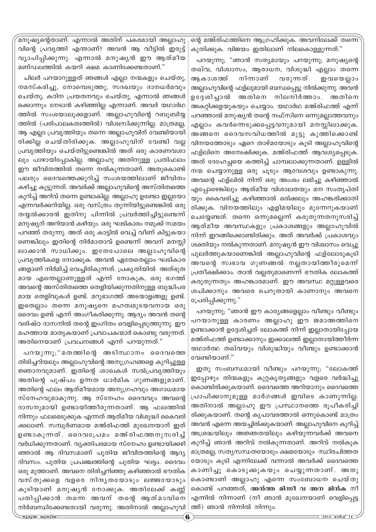`മനുഷ്യന്റെതാണ്. എന്നാൽ അതിന് പകരമായി അല്ലാഹു വിന്റെ പ്രവൃത്തി എന്താണ്? അവൻ ആ വീട്ടിൽ ഇരുട്ട് വ്യാപിപ്പിക്കുന്നു. എന്നാൽ മനുഷ്യൻ ഈ ആത്മീയ മണ്ഡലത്തിൽ കയറി ക്ഷമ കാണിക്കേണ്ടതാണ്."

ചിലർ പറയാറുള്ളത് ഞങ്ങൾ എല്ലാ നന്മകളും ചെയ്തു, നമസ്കരിച്ചു, നോമ്പെടുത്തു, സദഖയും ദാനധർമവും ചെയ്തു, കഠിന പ്രയതനവും ചെയ്തു, എന്നാൽ ഞങ്ങൾ ക്കൊന്നും നേടാൻ കഴിഞ്ഞില്ല എന്നാണ്. അവർ യഥാർഥ ത്തിൽ സംശയാലുക്കളാണ്. അല്ലാഹുവിന്റെ റബൂബിയ്യ ത്തിൽ (പരിപാലകത്വത്തിൽ) വിശ്വസിക്കുന്നില്ല. മാത്രമല്ല, ആ എല്ലാ പ്രവൃത്തിയും തന്നെ അല്ലാഹുവിന് വേണ്ടിയായി രിക്കില്ല ചെയ്തിരിക്കുക. അല്ലാഹുവിന് വേണ്ടി വല്ല <sub>്ര</sub>പവൃത്തിയും ചെയ്തിട്ടുണ്ടെങ്കിൽ അത് ഒരു കാരണവശാ ലും പാഴായിപ്പോകില്ല. അല്ലാഹു അതിനുള്ള പ്രതിഫല<del>ം</del> ഈ ജീവിതത്തിൽ തന്നെ നൽകുന്നതാണ്. അതുകൊണ്ട് പലരും ദൈവത്തെക്കുറിച്ച് സംശയത്തിലാണ് ജീവിതം കഴിച്ചു കൂട്ടുന്നത്. അവർക്ക് അല്ലാഹുവിന്റെ അസ്തിത്വത്തെ കുറിച്ച് അറിവ് തന്നെ ഉണ്ടാകില്ല. അല്ലാഹു ഉണ്ടോ ഇല്ലയോ എന്നവർക്കറിയില്ല. ഒരു വസ്ത്രം തുന്നിയിട്ടുണ്ടെങ്കിൽ ഒരു തയ്യൽക്കാരൻ ഇതിനു പിന്നിൽ പ്രവർത്തിച്ചിട്ടുണ്ടെന്ന് മനുഷ്യന് അറിയാൻ കഴിയും. ഒരു ഘടികാരം നമുക്ക് സമയം പറഞ്ഞ് തരുന്നു. അത് ഒരു കാട്ടിൽ വെച്ച് വീണ് കിട്ടുകയാ ണെങ്കിലും ഇതിന്റെ നിർമാതാവ് ഉണ്ടെന്ന് അവന് മനസ്സി ലാക്കാൻ സാധിക്കും. ഇതേപോലെ അല്ലാഹുവിന്റെ (പവൃത്തികളെ നോക്കുക. അവൻ ഏതേതെല്ലാം ഘടികാര ങ്ങളാണ് നിർമിച്ച് വെച്ചിരികുന്നത്. പ്രകൃതിയിൽ അത്ഭുത മായ എന്തെല്ലാണുള്ളത് എന്ന് നോകുക, ഒരു ഭഗത്ത് അവന്റെ അസ്തിത്വത്തെ തെളിയിക്കുന്നതിനുള്ള ബുദ്ധിപര മായ തെളിവുകൾ ഉണ്ട്. മറുഭാഗത്ത് അടയാളങ്ങളു ഉണ്ട്. ഇതെല്ലാം തന്നെ മനുഷ്യനെ മഹത്വമുടയവനായ ഒരു ദെവം ഉണ്ട് എന്ന് അംഗീകരിക്കുന്നു. ആദ്യം അവൻ തന്റെ വരിഷ്ഠ ദാസനിൽ തന്റെ ഇംഗിതം വെളിപ്പെടുത്തുന്നു. ഈ മഹത്തായ മാതൃകയാണ് പ്രവാചകന്മാർ കൊണ്ടു വരുന്നത്. അതിനെയാണ് പ്രവചനങ്ങൾ എന്ന് പറയുന്നത്."

പറയുന്നു;''മതത്തിന്റെ അടിസ്ഥാനം ദൈവത്തെ തിരിച്ചറിയലും അല്ലാഹുവിന്റെ അനുഗ്രഹങ്ങളെ കുറിച്ചുള്ള  $\mathcal P$ ഞാനവുമാണ്. ഇതിന്റെ ശാഖകൾ സൽപ്രവൃത്തിയും അതിന്റെ പുഷ്പം ഉന്നത ധാർമിക ഗുണങ്ങളുമാണ്. അതിന്റെ ഫലം ആത്മീയമായ അനുഗ്രഹവും അഗാധമായ സ്നേഹവുമാകുന്നു. ആ സ്നേഹം ദൈവവും അവന്റെ ദാസനുമായി ഉണ്ടായിത്തീരുന്നതാണ്. ആ ഫലത്തിൽ നിന്നും ഫലമെടുക്കുക എന്നത് ആത്മീയ വിശുദ്ധി കൈവരി ക്കലാണ്. സമ്പൂർണമായ മഅ്രിഫത്ത് മുഖേനയാന് ഇത് ഉണ്ടാകുന്നത്. ദൈവപ്രേമം മഅ്രിഫത്തനുസരിച്ച് വർധിക്കുന്നതാണ്. വ്യക്തിപരമായ സ്നേഹം ഉണ്ടായിക്കഴി ഞ്ഞാൽ ആ ദിവസമാണ് പുതിയ ജീവിതത്തിന്റെ ആദ്യ ദിവസം. പുതിയ പ്രപഞ്ചത്തിന്റെ പുതിയ ഘട്ടം. ദൈവം ഒരു മുത്താണ്. അവനെ തിരിച്ചറിഞ്ഞു കഴിഞ്ഞാൽ ഭൗതിക വസ്തുക്കളെ വളരെ നിന്ദ്യതയോടും ലജ്ജയോടും കൂടിയാണ് മനുഷൃൻ നോക്കുക. അതിലേക്ക് കണ്ണ് പതിപ്പിക്കാൻ തന്നെ അവന് തന്റെ ആത്മാവിനെ നിർബന്ധിക്കേണ്ടതായി വരുന്നു. അതിനാൽ അല്ലാഹുവി $\mid$ 

ന്റെ മഅ്രിഫത്തിനെ ആഗ്രഹിക്കുക. അവനിലേക്ക് തന്നെ കുതിക്കുക. വിജയം ഇതിലാണ് നിലകൊള്ളുന്നത്."

പറയുന്നു; "ഞാൻ സത്യമായും പറയുന്നു; മനുഷ്യന്റെ തഖ്വ, വിശ്വാസം, ആരാധന, വിശുദ്ധി എല്ലാം തന്നെ ആകാശത്ത് നിന്നാണ് വരുന്നത്. ഇവയെല്ലാം അല്ലാഹുവിന്റെ ഫള്ലുമായി ബന്ധപ്പെട്ടു നിൽക്കുന്നു. അവൻ ഉദ്ദേശിച്ചാൽ അതിനെ നിലനിർത്താം. അതിനെ അകറ്റിക്കളയുകയും ചെയ്യാം. യഥാർഥ മഅ്രിഫത്ത് എന്ന് പറഞ്ഞാൽ മനുഷ്യൻ തന്റെ നഫ്സിനെ ഒന്നുമല്ലാത്തവനും എല്ലാം കവർന്നെടുക്കപ്പെട്ടവനുമായി മനസ്സിലാക്കുക. അങ്ങനെ ദൈവസവിധത്തിൽ മുട്ടു കുത്തിക്കൊണ്ട് hnയത്തോടും ഏറെ താഴ്മയോടും കൂടി അല്ലാഹുവിന്റെ ഹള്ലിനെ അന്വേഷിക്കുക. മഅ്രിഫത്ത് ആവശ്യപ്പെടുക. അത് ദേഹേച്ഛയെ കത്തിച്ച് ചാമ്പലാക്കുന്നതാണ്. ഉള്ളിൽ  $\overline{m}$  ചെയ്യാനുള്ള ഒരു ചൂടും ആവേശവും ഉണ്ടാകുന്നു. അവന്റെ ഫള്ലിൽ നിന്ന് ഒരു അംശം ലഭിച്ചു കഴിഞ്ഞാൽ എപ്പോഴെങ്കിലും ആത്മീയ വിശാലതയും മന സംതൃപ്തി യും കൈവരിച്ചു കഴിഞ്ഞാൽ ഒരിക്കലും അഹങ്കരിക്കാതി രിക്കുക. വിനയത്തിലും എളിമയിലും മുന്നേറുകയാണ് ചെയ്യേണ്ടത്. തന്നെ ഒന്നുമല്ലെന്ന് കരുതുന്നതനുസരിച്ച് ആത്മീയ അവസ്ഥകളും പ്രകാശങ്ങളും അല്ലാഹുവിൽ നിന്ന് ഇറങ്ങിക്കൊണ്ടിരിക്കും. അത് അവർക്ക് പ്രകാശവും ശക്തിയും നൽകുന്നതാണ്. മനുഷ്യൻ ഈ വിശ്വാസം വെച്ചു പുലർത്തുകയാണെങ്കിൽ അല്ലാഹുവിന്റെ ഫള്ലോടുകൂടി അവന്റെ സ്വഭാവ ഗുണങ്ങൽ നല്ലതായിത്തീരുമെന്ന് (പതീക്ഷിക്കാം. താൻ വല്ലതുമാണെന്ന് ഭൗതിക ലോകത്ത് കരുതുന്നതും അഹങ്കാരമാണ്. ഈ അവസ്ഥ മറ്റുള്ളവരെ ശപിക്കാനും അവരെ ചെറുതായി കാണാനും അവനെ ്പേരിപ്പിക്കുന്നു."

പറയുന്നു; "ഞാൻ ഈ കാര്യങ്ങളെല്ലാം വീണ്ടും വീണ്ടും പറയാനുള്ള കാരണം അല്ലാഹു ഈ ജമാഅത്തിനെ ഉണ്ടാക്കാൻ ഉദ്ദേശിച്ചത് ലോകത്ത് നിന്ന് ഇല്ലാതായിപ്പോയ മഅ്രിഫത്ത് ഉണ്ടാക്കാനും ഇക്കാലത്ത് ഇല്ലാതായിത്തീർന്ന യഥാർത്ഥ തഖ്വയും വിശുദ്ധിയും വീണ്ടും ഉണ്ടാക്കാൻ വേണ്ടിയാണ്."

ഇതു സംബന്ധമായി വീണ്ടും പറയുന്നു; "ലോകത്ത് ഇപ്പോഴും തിന്മകളും കുറ്റകൃതൃങ്ങളും വളരെ വർദ്ധിച്ചു കൊണ്ടിരിക്കുകയാണ്. ദൈവത്തെ അറിയാനും ദൈവത്തെ (പാപിക്കാനുമുള്ള മാർഗങ്ങൾ ഇവിടെ കാണുന്നില്ല. അതിനാൽ അല്ലാഹു ഈ പ്രസ്ഥാനത്തെ രൂപീകരിച്ചി രിക്കുകയാണ്. തന്റെ കൃപാവരത്താൽ ഒന്നുകൊണ്ട് മാത്രം അവൻ എന്നെ അയച്ചിരിക്കുകയാണ്. അല്ലാഹുവിനെ കുറിച്ച് അശ്രദ്ധയിലും അജ്ഞതയിലും കഴിയുന്നവർക്ക് അവനെ കുറിച്ച് ഞാൻ അറിവ് നൽകുന്നതാണ്. അറിവ് നൽകുക മാത്രമല്ല, സതൃസന്ധതയോടും ക്ഷമയോടും സ്ഥിരചിത്തത യോടും കൂടി എന്നിലേക്ക് വന്നാൽ അവർക്ക് ദൈവത്തെ കാണിച്ചു കൊടുക്കുകയും ചെയ്യുന്നതാണ്. അതു കൊണ്ടാണ് അല്ലാഹു എന്നെ സംബോധന ചെയ്തു കൊണ്ട് പറഞ്ഞത്, **അൻത്ത മിന്നീ വ അന മിൻക** നീ എന്നിൽ നിന്നാണ് (നീ ഞാൻ മുഖേനയാണ് വെളിപ്പെട്ട ത്ത്) ഞാൻ നിന്നിൽ നിന്നും.

ജുമുഅ ഖുത്വ് <u>2014 മാർച് 14 മുത്തി കോട്ടികളുടെ 6 മുത്തി കോട്ടികളുടെ 2014 മാർച്ച് 14 മാർച്ച് 14 മാർച്ച് 14 മാർച്ച്</u>